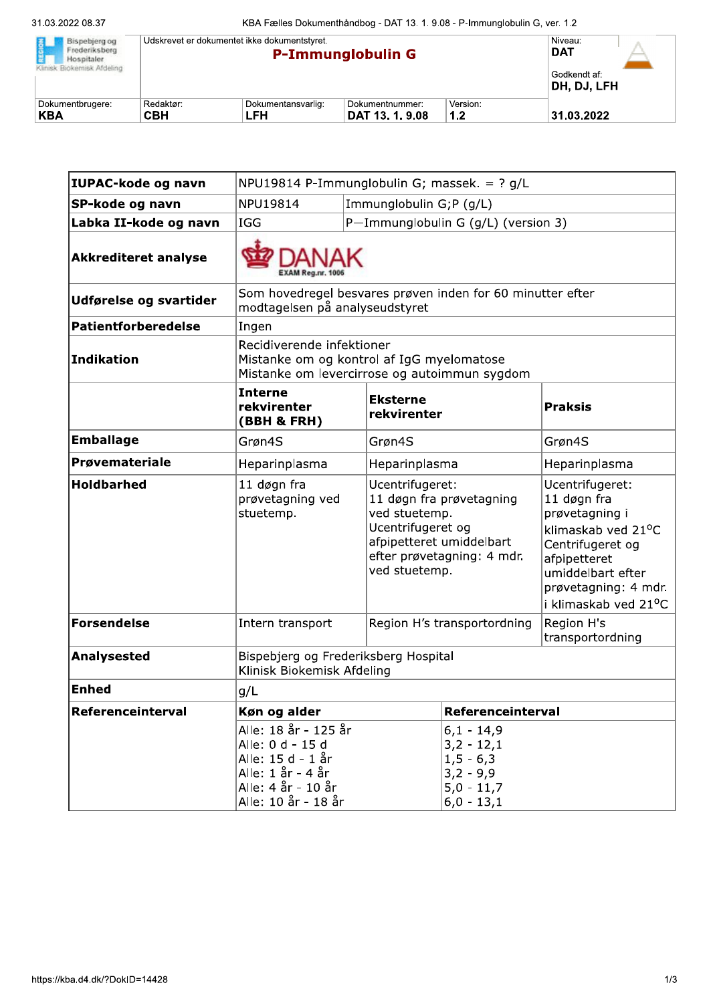| REGION<br>Bispebierg og<br>Frederiksberg<br>Hospitaler.<br>Klinisk Biokemisk Afdeling | Udskrevet er dokumentet ikke dokumentstyret.<br><b>P-Immunglobulin G</b> |                           |                                    | Niveau:<br><b>DAT</b>       |            |  |
|---------------------------------------------------------------------------------------|--------------------------------------------------------------------------|---------------------------|------------------------------------|-----------------------------|------------|--|
|                                                                                       |                                                                          |                           |                                    | Godkendt af:<br>DH, DJ, LFH |            |  |
| Dokumentbrugere:<br>KBA                                                               | Redaktør:<br><b>CBH</b>                                                  | Dokumentansvarlig:<br>LFH | Dokumentnummer:<br>DAT 13. 1. 9.08 | Version:<br>1.2             | 31.03.2022 |  |

| IUPAC-kode og navn          | NPU19814 P-Immunglobulin G; massek. = $?$ g/L                                                                                   |                                                                                                                                                              |                                                                                              |                                                                                                                                                                                 |  |
|-----------------------------|---------------------------------------------------------------------------------------------------------------------------------|--------------------------------------------------------------------------------------------------------------------------------------------------------------|----------------------------------------------------------------------------------------------|---------------------------------------------------------------------------------------------------------------------------------------------------------------------------------|--|
| SP-kode og navn             | NPU19814                                                                                                                        | Immunglobulin G;P (g/L)                                                                                                                                      |                                                                                              |                                                                                                                                                                                 |  |
| Labka II-kode og navn       | <b>IGG</b>                                                                                                                      | P-Immunglobulin G (g/L) (version 3)                                                                                                                          |                                                                                              |                                                                                                                                                                                 |  |
| <b>Akkrediteret analyse</b> |                                                                                                                                 |                                                                                                                                                              |                                                                                              |                                                                                                                                                                                 |  |
| Udførelse og svartider      | Som hovedregel besvares prøven inden for 60 minutter efter<br>modtagelsen på analyseudstyret                                    |                                                                                                                                                              |                                                                                              |                                                                                                                                                                                 |  |
| Patientforberedelse         | Ingen                                                                                                                           |                                                                                                                                                              |                                                                                              |                                                                                                                                                                                 |  |
| Indikation                  | Recidiverende infektioner<br>Mistanke om og kontrol af IgG myelomatose<br>Mistanke om levercirrose og autoimmun sygdom          |                                                                                                                                                              |                                                                                              |                                                                                                                                                                                 |  |
|                             | <b>Interne</b><br>rekvirenter<br>(BBH & FRH)                                                                                    | <b>Eksterne</b><br>rekvirenter                                                                                                                               |                                                                                              | <b>Praksis</b>                                                                                                                                                                  |  |
| <b>Emballage</b>            | Grøn4S                                                                                                                          | Grøn4S                                                                                                                                                       |                                                                                              | Grøn4S                                                                                                                                                                          |  |
| Prøvemateriale              | Heparinplasma<br>Heparinplasma                                                                                                  |                                                                                                                                                              | Heparinplasma                                                                                |                                                                                                                                                                                 |  |
| <b>Holdbarhed</b>           | 11 døgn fra<br>prøvetagning ved<br>stuetemp.                                                                                    | Ucentrifugeret:<br>11 døgn fra prøvetagning<br>ved stuetemp.<br>Ucentrifugeret og<br>afpipetteret umiddelbart<br>efter prøvetagning: 4 mdr.<br>ved stuetemp. |                                                                                              | Ucentrifugeret:<br>11 døgn fra<br>prøvetagning i<br>klimaskab ved 21°C<br>Centrifugeret og<br>afpipetteret<br>umiddelbart efter<br>prøvetagning: 4 mdr.<br>i klimaskab ved 21°C |  |
| <b>Forsendelse</b>          | Intern transport                                                                                                                | Region H's transportordning                                                                                                                                  |                                                                                              | Region H's<br>transportordning                                                                                                                                                  |  |
| <b>Analysested</b>          | Bispebjerg og Frederiksberg Hospital<br>Klinisk Biokemisk Afdeling                                                              |                                                                                                                                                              |                                                                                              |                                                                                                                                                                                 |  |
| <b>Enhed</b>                | g/L                                                                                                                             |                                                                                                                                                              |                                                                                              |                                                                                                                                                                                 |  |
| Referenceinterval           | Køn og alder                                                                                                                    |                                                                                                                                                              | Referenceinterval                                                                            |                                                                                                                                                                                 |  |
|                             | Alle: 18 år - 125 år<br>Alle: 0 d - 15 d<br>Alle: 15 d - 1 år<br>Alle: 1 år - 4 år<br>Alle: 4 år - 10 år<br>Alle: 10 år - 18 år |                                                                                                                                                              | $6,1 - 14,9$<br>$3,2 - 12,1$<br>$1, 5 - 6, 3$<br>$3,2 - 9,9$<br>$5,0 - 11,7$<br>$6,0 - 13,1$ |                                                                                                                                                                                 |  |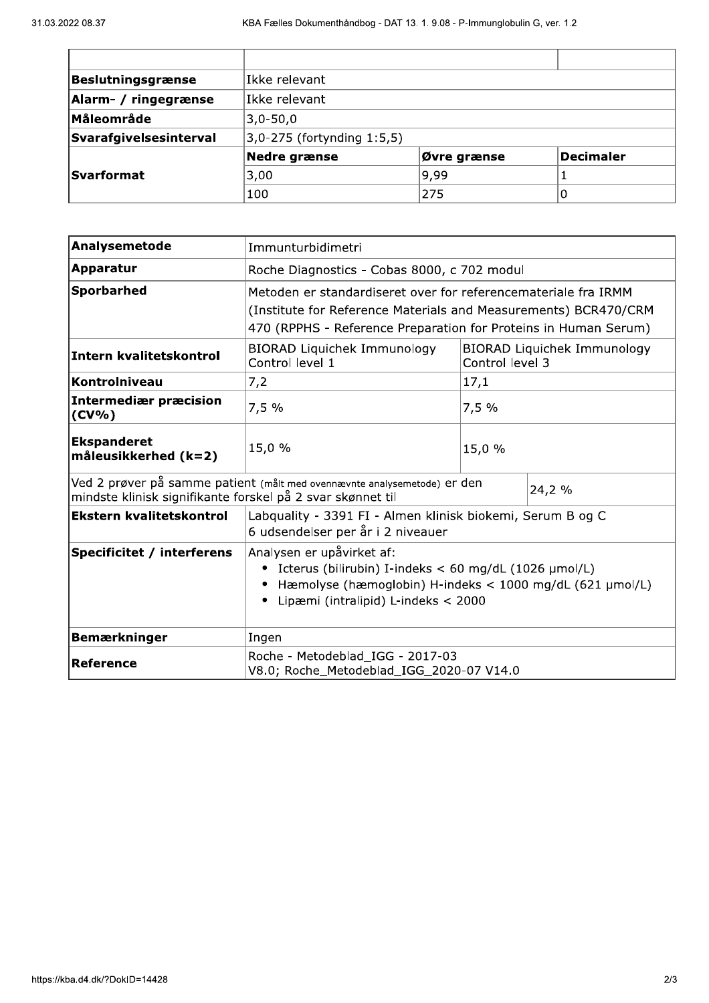| Beslutningsgrænse      | Ikke relevant                 |             |                  |  |
|------------------------|-------------------------------|-------------|------------------|--|
| Alarm- / ringegrænse   | Ikke relevant                 |             |                  |  |
| Måleområde             | $ 3,0-50,0 $                  |             |                  |  |
| Svarafgivelsesinterval | $ 3,0-275$ (fortynding 1:5,5) |             |                  |  |
|                        | Nedre grænse                  | Øvre grænse | <b>Decimaler</b> |  |
| <b>Svarformat</b>      | 3,00                          | 9,99        |                  |  |
|                        | 100                           | 275         |                  |  |

| Analysemetode                                              | Immunturbidimetri                                                                                                                                                                                    |                                                       |        |  |
|------------------------------------------------------------|------------------------------------------------------------------------------------------------------------------------------------------------------------------------------------------------------|-------------------------------------------------------|--------|--|
| <b>Apparatur</b>                                           | Roche Diagnostics - Cobas 8000, c 702 modul                                                                                                                                                          |                                                       |        |  |
| Sporbarhed                                                 | Metoden er standardiseret over for referencemateriale fra IRMM<br>(Institute for Reference Materials and Measurements) BCR470/CRM<br>470 (RPPHS - Reference Preparation for Proteins in Human Serum) |                                                       |        |  |
| <b>Intern kvalitetskontrol</b>                             | <b>BIORAD Liquichek Immunology</b><br>Control level 1                                                                                                                                                | <b>BIORAD Liquichek Immunology</b><br>Control level 3 |        |  |
| Kontrolniveau                                              | 7,2                                                                                                                                                                                                  | 17,1                                                  |        |  |
| Intermediær præcision<br>$(CV\% )$                         | 7,5%                                                                                                                                                                                                 | 7,5%                                                  |        |  |
| <b>Ekspanderet</b><br>måleusikkerhed $(k=2)$               | 15,0 %                                                                                                                                                                                               | 15,0 %                                                |        |  |
| mindste klinisk signifikante forskel på 2 svar skønnet til | Ved 2 prøver på samme patient (målt med ovennævnte analysemetode) er den                                                                                                                             |                                                       | 24,2 % |  |
| <b>Ekstern kvalitetskontrol</b>                            | Labquality - 3391 FI - Almen klinisk biokemi, Serum B og C<br>6 udsendelser per år i 2 niveauer                                                                                                      |                                                       |        |  |
| <b>Specificitet / interferens</b>                          | Analysen er upåvirket af:<br>Icterus (bilirubin) I-indeks < 60 mg/dL (1026 µmol/L)<br>Hæmolyse (hæmoglobin) H-indeks < 1000 mg/dL (621 µmol/L)<br>Lipæmi (intralipid) L-indeks < 2000                |                                                       |        |  |
| <b>Bemærkninger</b>                                        | Ingen                                                                                                                                                                                                |                                                       |        |  |
| <b>Reference</b>                                           | Roche - Metodeblad_IGG - 2017-03<br>V8.0; Roche_Metodeblad_IGG_2020-07 V14.0                                                                                                                         |                                                       |        |  |